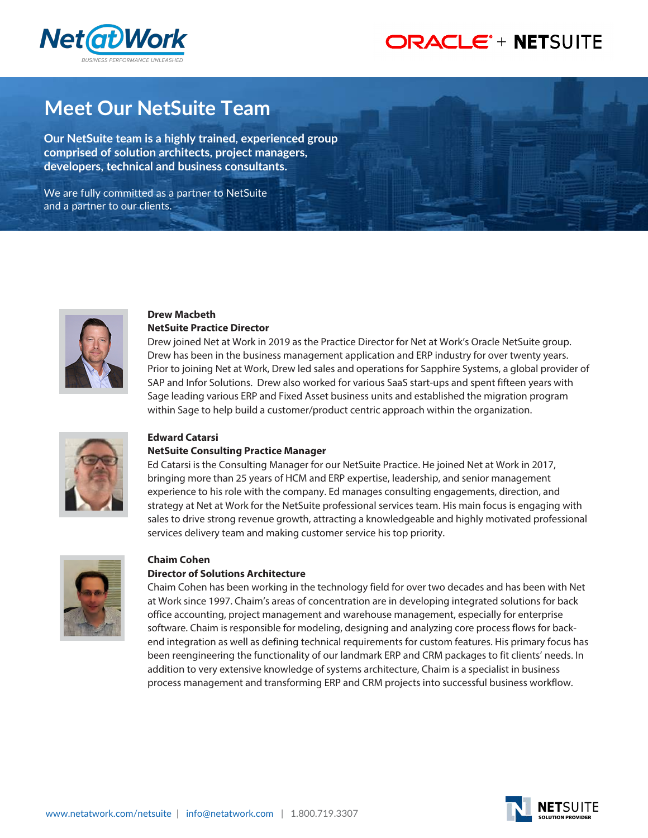

# ORACLE<sup>\*</sup> + NETSUITE

# **Meet Our NetSuite Team**

**Our NetSuite team is a highly trained, experienced group comprised of solution architects, project managers, developers, technical and business consultants.**

We are fully committed as a partner to NetSuite and a partner to our clients.



## **Drew Macbeth NetSuite Practice Director**

Drew joined Net at Work in 2019 as the Practice Director for Net at Work's Oracle NetSuite group. Drew has been in the business management application and ERP industry for over twenty years. Prior to joining Net at Work, Drew led sales and operations for Sapphire Systems, a global provider of SAP and Infor Solutions. Drew also worked for various SaaS start-ups and spent fifteen years with Sage leading various ERP and Fixed Asset business units and established the migration program within Sage to help build a customer/product centric approach within the organization.



#### **Chaim Cohen**

#### **Director of Solutions Architecture**

Chaim Cohen has been working in the technology field for over two decades and has been with Net at Work since 1997. Chaim's areas of concentration are in developing integrated solutions for back office accounting, project management and warehouse management, especially for enterprise software. Chaim is responsible for modeling, designing and analyzing core process flows for backend integration as well as defining technical requirements for custom features. His primary focus has been reengineering the functionality of our landmark ERP and CRM packages to fit clients' needs. In addition to very extensive knowledge of systems architecture, Chaim is a specialist in business process management and transforming ERP and CRM projects into successful business workflow.



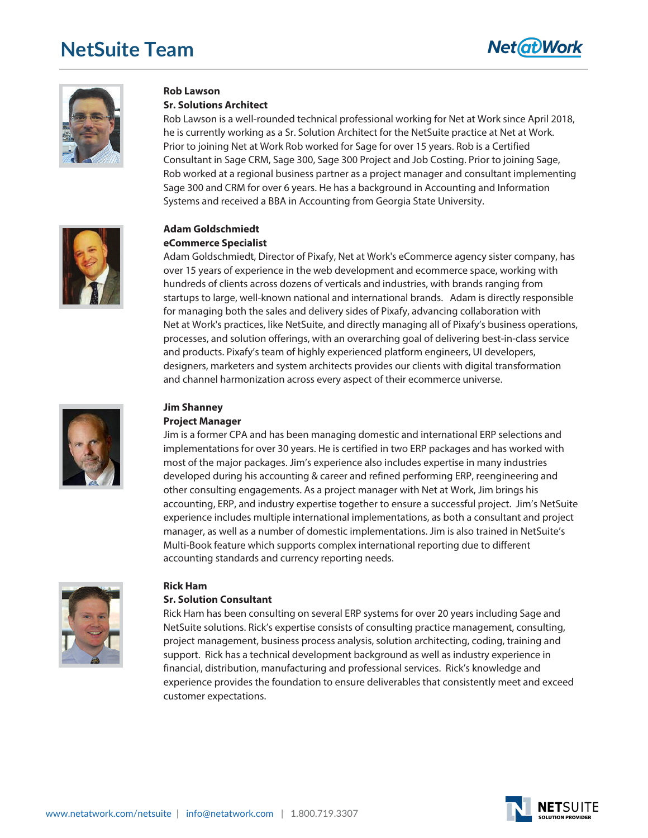



#### **Rob Lawson Sr. Solutions Architect**

Rob Lawson is a well-rounded technical professional working for Net at Work since April 2018, he is currently working as a Sr. Solution Architect for the NetSuite practice at Net at Work. Prior to joining Net at Work Rob worked for Sage for over 15 years. Rob is a Certified Consultant in Sage CRM, Sage 300, Sage 300 Project and Job Costing. Prior to joining Sage, Rob worked at a regional business partner as a project manager and consultant implementing Sage 300 and CRM for over 6 years. He has a background in Accounting and Information Systems and received a BBA in Accounting from Georgia State University.



# **Adam Goldschmiedt**

#### **eCommerce Specialist**

Adam Goldschmiedt, Director of Pixafy, Net at Work's eCommerce agency sister company, has over 15 years of experience in the web development and ecommerce space, working with hundreds of clients across dozens of verticals and industries, with brands ranging from startups to large, well-known national and international brands. Adam is directly responsible for managing both the sales and delivery sides of Pixafy, advancing collaboration with Net at Work's practices, like NetSuite, and directly managing all of Pixafy's business operations, processes, and solution offerings, with an overarching goal of delivering best-in-class service and products. Pixafy's team of highly experienced platform engineers, UI developers, designers, marketers and system architects provides our clients with digital transformation and channel harmonization across every aspect of their ecommerce universe.



# **Jim Shanney**

#### **Project Manager**

Jim is a former CPA and has been managing domestic and international ERP selections and implementations for over 30 years. He is certified in two ERP packages and has worked with most of the major packages. Jim's experience also includes expertise in many industries developed during his accounting & career and refined performing ERP, reengineering and other consulting engagements. As a project manager with Net at Work, Jim brings his accounting, ERP, and industry expertise together to ensure a successful project. Jim's NetSuite experience includes multiple international implementations, as both a consultant and project manager, as well as a number of domestic implementations. Jim is also trained in NetSuite's Multi-Book feature which supports complex international reporting due to different accounting standards and currency reporting needs.



#### **Rick Ham**

#### **Sr. Solution Consultant**

Rick Ham has been consulting on several ERP systems for over 20 years including Sage and NetSuite solutions. Rick's expertise consists of consulting practice management, consulting, project management, business process analysis, solution architecting, coding, training and support. Rick has a technical development background as well as industry experience in financial, distribution, manufacturing and professional services. Rick's knowledge and experience provides the foundation to ensure deliverables that consistently meet and exceed customer expectations.